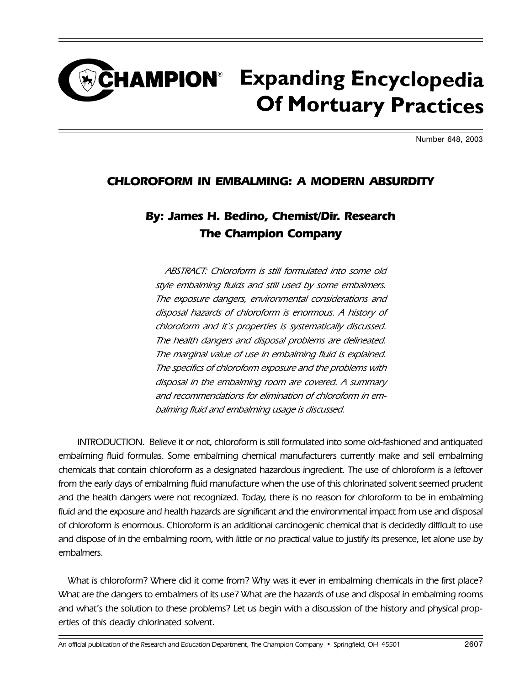## **CHAMPION**<sup>®</sup> Expanding Encyclopedia **Of Mortuary Practices**

Number 648, 2003

## CHLOROFORM IN EMBALMING: A MODERN ABSURDITY

## By: James H. Bedino, Chemist/Dir. Research The Champion Company

ABSTRACT: Chloroform is still formulated into some old style embalming fluids and still used by some embalmers. The exposure dangers, environmental considerations and disposal hazards of chloroform is enormous. A history of chloroform and it's properties is systematically discussed. The health dangers and disposal problems are delineated. The marginal value of use in embalming fluid is explained. The specifics of chloroform exposure and the problems with disposal in the embalming room are covered. A summary and recommendations for elimination of chloroform in embalming fluid and embalming usage is discussed.

INTRODUCTION. Believe it or not, chloroform is still formulated into some old-fashioned and antiquated embalming fluid formulas. Some embalming chemical manufacturers currently make and sell embalming chemicals that contain chloroform as a designated hazardous ingredient. The use of chloroform is a leftover from the early days of embalming fluid manufacture when the use of this chlorinated solvent seemed prudent and the health dangers were not recognized. Today, there is no reason for chloroform to be in embalming fluid and the exposure and health hazards are significant and the environmental impact from use and disposal of chloroform is enormous. Chloroform is an additional carcinogenic chemical that is decidedly difficult to use and dispose of in the embalming room, with little or no practical value to justify its presence, let alone use by embalmers.

What is chloroform? Where did it come from? Why was it ever in embalming chemicals in the first place? What are the dangers to embalmers of its use? What are the hazards of use and disposal in embalming rooms and what's the solution to these problems? Let us begin with a discussion of the history and physical properties of this deadly chlorinated solvent.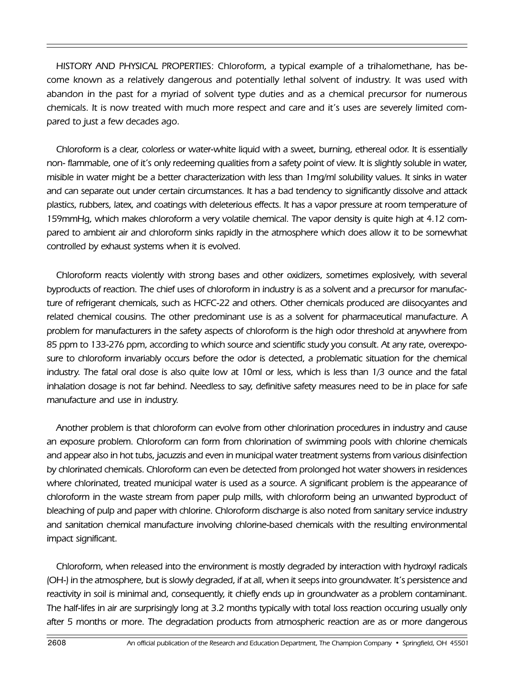HISTORY AND PHYSICAL PROPERTIES: Chloroform, a typical example of a trihalomethane, has become known as a relatively dangerous and potentially lethal solvent of industry. It was used with abandon in the past for a myriad of solvent type duties and as a chemical precursor for numerous chemicals. It is now treated with much more respect and care and it's uses are severely limited compared to just a few decades ago.

Chloroform is a clear, colorless or water-white liquid with a sweet, burning, ethereal odor. It is essentially non- flammable, one of it's only redeeming qualities from a safety point of view. It is slightly soluble in water, misible in water might be a better characterization with less than 1mg/ml solubility values. It sinks in water and can separate out under certain circumstances. It has a bad tendency to significantly dissolve and attack plastics, rubbers, latex, and coatings with deleterious effects. It has a vapor pressure at room temperature of 159mmHg, which makes chloroform a very volatile chemical. The vapor density is quite high at 4.12 compared to ambient air and chloroform sinks rapidly in the atmosphere which does allow it to be somewhat controlled by exhaust systems when it is evolved.

Chloroform reacts violently with strong bases and other oxidizers, sometimes explosively, with several byproducts of reaction. The chief uses of chloroform in industry is as a solvent and a precursor for manufacture of refrigerant chemicals, such as HCFC-22 and others. Other chemicals produced are diisocyantes and related chemical cousins. The other predominant use is as a solvent for pharmaceutical manufacture. A problem for manufacturers in the safety aspects of chloroform is the high odor threshold at anywhere from 85 ppm to 133-276 ppm, according to which source and scientific study you consult. At any rate, overexposure to chloroform invariably occurs before the odor is detected, a problematic situation for the chemical industry. The fatal oral dose is also quite low at 10ml or less, which is less than 1/3 ounce and the fatal inhalation dosage is not far behind. Needless to say, definitive safety measures need to be in place for safe manufacture and use in industry.

Another problem is that chloroform can evolve from other chlorination procedures in industry and cause an exposure problem. Chloroform can form from chlorination of swimming pools with chlorine chemicals and appear also in hot tubs, jacuzzis and even in municipal water treatment systems from various disinfection by chlorinated chemicals. Chloroform can even be detected from prolonged hot water showers in residences where chlorinated, treated municipal water is used as a source. A significant problem is the appearance of chloroform in the waste stream from paper pulp mills, with chloroform being an unwanted byproduct of bleaching of pulp and paper with chlorine. Chloroform discharge is also noted from sanitary service industry and sanitation chemical manufacture involving chlorine-based chemicals with the resulting environmental impact significant.

Chloroform, when released into the environment is mostly degraded by interaction with hydroxyl radicals (OH-) in the atmosphere, but is slowly degraded, if at all, when it seeps into groundwater. It's persistence and reactivity in soil is minimal and, consequently, it chiefly ends up in groundwater as a problem contaminant. The half-lifes in air are surprisingly long at 3.2 months typically with total loss reaction occuring usually only after 5 months or more. The degradation products from atmospheric reaction are as or more dangerous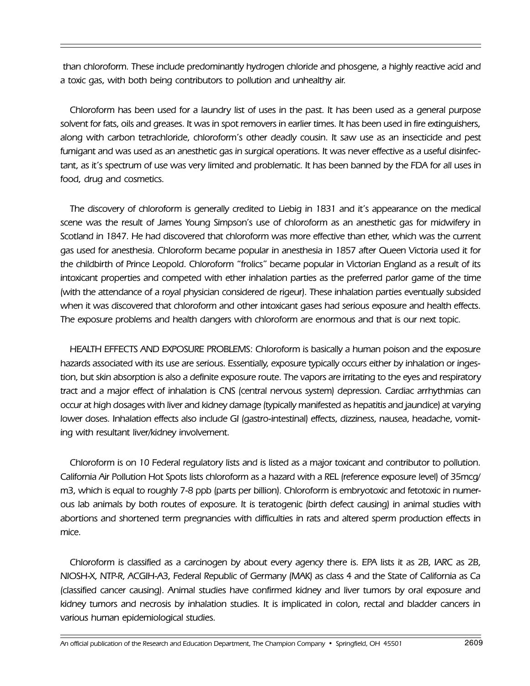than chloroform. These include predominantly hydrogen chloride and phosgene, a highly reactive acid and a toxic gas, with both being contributors to pollution and unhealthy air.

Chloroform has been used for a laundry list of uses in the past. It has been used as a general purpose solvent for fats, oils and greases. It was in spot removers in earlier times. It has been used in fire extinguishers, along with carbon tetrachloride, chloroform's other deadly cousin. It saw use as an insecticide and pest fumigant and was used as an anesthetic gas in surgical operations. It was never effective as a useful disinfectant, as it's spectrum of use was very limited and problematic. It has been banned by the FDA for all uses in food, drug and cosmetics.

The discovery of chloroform is generally credited to Liebig in 1831 and it's appearance on the medical scene was the result of James Young Simpson's use of chloroform as an anesthetic gas for midwifery in Scotland in 1847. He had discovered that chloroform was more effective than ether, which was the current gas used for anesthesia. Chloroform became popular in anesthesia in 1857 after Queen Victoria used it for the childbirth of Prince Leopold. Chloroform "frolics" became popular in Victorian England as a result of its intoxicant properties and competed with ether inhalation parties as the preferred parlor game of the time (with the attendance of a royal physician considered de rigeur). These inhalation parties eventually subsided when it was discovered that chloroform and other intoxicant gases had serious exposure and health effects. The exposure problems and health dangers with chloroform are enormous and that is our next topic.

HEALTH EFFECTS AND EXPOSURE PROBLEMS: Chloroform is basically a human poison and the exposure hazards associated with its use are serious. Essentially, exposure typically occurs either by inhalation or ingestion, but skin absorption is also a definite exposure route. The vapors are irritating to the eyes and respiratory tract and a major effect of inhalation is CNS (central nervous system) depression. Cardiac arrhythmias can occur at high dosages with liver and kidney damage (typically manifested as hepatitis and jaundice) at varying lower doses. Inhalation effects also include GI (gastro-intestinal) effects, dizziness, nausea, headache, vomiting with resultant liver/kidney involvement.

Chloroform is on 10 Federal regulatory lists and is listed as a major toxicant and contributor to pollution. California Air Pollution Hot Spots lists chloroform as a hazard with a REL (reference exposure level) of 35mcg/ m3, which is equal to roughly 7-8 ppb (parts per billion). Chloroform is embryotoxic and fetotoxic in numerous lab animals by both routes of exposure. It is teratogenic (birth defect causing) in animal studies with abortions and shortened term pregnancies with difficulties in rats and altered sperm production effects in mice.

Chloroform is classified as a carcinogen by about every agency there is. EPA lists it as 2B, IARC as 2B, NIOSH-X, NTP-R, ACGIH-A3, Federal Republic of Germany (MAK) as class 4 and the State of California as Ca (classified cancer causing). Animal studies have confirmed kidney and liver tumors by oral exposure and kidney tumors and necrosis by inhalation studies. It is implicated in colon, rectal and bladder cancers in various human epidemiological studies.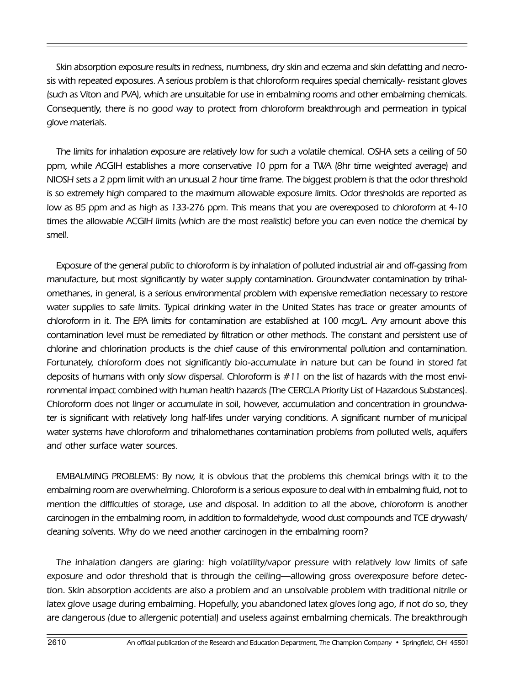Skin absorption exposure results in redness, numbness, dry skin and eczema and skin defatting and necrosis with repeated exposures. A serious problem is that chloroform requires special chemically- resistant gloves (such as Viton and PVA), which are unsuitable for use in embalming rooms and other embalming chemicals. Consequently, there is no good way to protect from chloroform breakthrough and permeation in typical glove materials.

The limits for inhalation exposure are relatively low for such a volatile chemical. OSHA sets a ceiling of 50 ppm, while ACGIH establishes a more conservative 10 ppm for a TWA (8hr time weighted average) and NIOSH sets a 2 ppm limit with an unusual 2 hour time frame. The biggest problem is that the odor threshold is so extremely high compared to the maximum allowable exposure limits. Odor thresholds are reported as low as 85 ppm and as high as 133-276 ppm. This means that you are overexposed to chloroform at 4-10 times the allowable ACGIH limits (which are the most realistic) before you can even notice the chemical by smell.

Exposure of the general public to chloroform is by inhalation of polluted industrial air and off-gassing from manufacture, but most significantly by water supply contamination. Groundwater contamination by trihalomethanes, in general, is a serious environmental problem with expensive remediation necessary to restore water supplies to safe limits. Typical drinking water in the United States has trace or greater amounts of chloroform in it. The EPA limits for contamination are established at 100 mcg/L. Any amount above this contamination level must be remediated by filtration or other methods. The constant and persistent use of chlorine and chlorination products is the chief cause of this environmental pollution and contamination. Fortunately, chloroform does not significantly bio-accumulate in nature but can be found in stored fat deposits of humans with only slow dispersal. Chloroform is #11 on the list of hazards with the most environmental impact combined with human health hazards (The CERCLA Priority List of Hazardous Substances). Chloroform does not linger or accumulate in soil, however, accumulation and concentration in groundwater is significant with relatively long half-lifes under varying conditions. A significant number of municipal water systems have chloroform and trihalomethanes contamination problems from polluted wells, aquifers and other surface water sources.

EMBALMING PROBLEMS: By now, it is obvious that the problems this chemical brings with it to the embalming room are overwhelming. Chloroform is a serious exposure to deal with in embalming fluid, not to mention the difficulties of storage, use and disposal. In addition to all the above, chloroform is another carcinogen in the embalming room, in addition to formaldehyde, wood dust compounds and TCE drywash/ cleaning solvents. Why do we need another carcinogen in the embalming room?

The inhalation dangers are glaring: high volatility/vapor pressure with relatively low limits of safe exposure and odor threshold that is through the ceiling—allowing gross overexposure before detection. Skin absorption accidents are also a problem and an unsolvable problem with traditional nitrile or latex glove usage during embalming. Hopefully, you abandoned latex gloves long ago, if not do so, they are dangerous (due to allergenic potential) and useless against embalming chemicals. The breakthrough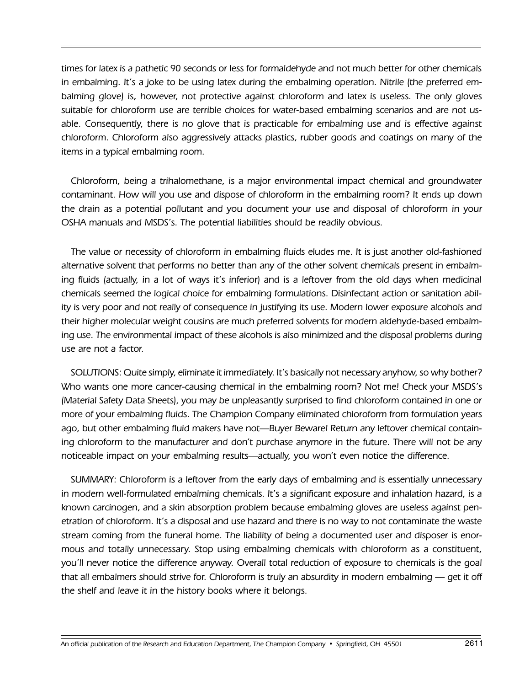times for latex is a pathetic 90 seconds or less for formaldehyde and not much better for other chemicals in embalming. It's a joke to be using latex during the embalming operation. Nitrile (the preferred embalming glove) is, however, not protective against chloroform and latex is useless. The only gloves suitable for chloroform use are terrible choices for water-based embalming scenarios and are not usable. Consequently, there is no glove that is practicable for embalming use and is effective against chloroform. Chloroform also aggressively attacks plastics, rubber goods and coatings on many of the items in a typical embalming room.

Chloroform, being a trihalomethane, is a major environmental impact chemical and groundwater contaminant. How will you use and dispose of chloroform in the embalming room? It ends up down the drain as a potential pollutant and you document your use and disposal of chloroform in your OSHA manuals and MSDS's. The potential liabilities should be readily obvious.

The value or necessity of chloroform in embalming fluids eludes me. It is just another old-fashioned alternative solvent that performs no better than any of the other solvent chemicals present in embalming fluids (actually, in a lot of ways it's inferior) and is a leftover from the old days when medicinal chemicals seemed the logical choice for embalming formulations. Disinfectant action or sanitation ability is very poor and not really of consequence in justifying its use. Modern lower exposure alcohols and their higher molecular weight cousins are much preferred solvents for modern aldehyde-based embalming use. The environmental impact of these alcohols is also minimized and the disposal problems during use are not a factor.

SOLUTIONS: Quite simply, eliminate it immediately. It's basically not necessary anyhow, so why bother? Who wants one more cancer-causing chemical in the embalming room? Not me! Check your MSDS's (Material Safety Data Sheets), you may be unpleasantly surprised to find chloroform contained in one or more of your embalming fluids. The Champion Company eliminated chloroform from formulation years ago, but other embalming fluid makers have not—Buyer Beware! Return any leftover chemical containing chloroform to the manufacturer and don't purchase anymore in the future. There will not be any noticeable impact on your embalming results—actually, you won't even notice the difference.

SUMMARY: Chloroform is a leftover from the early days of embalming and is essentially unnecessary in modern well-formulated embalming chemicals. It's a significant exposure and inhalation hazard, is a known carcinogen, and a skin absorption problem because embalming gloves are useless against penetration of chloroform. It's a disposal and use hazard and there is no way to not contaminate the waste stream coming from the funeral home. The liability of being a documented user and disposer is enormous and totally unnecessary. Stop using embalming chemicals with chloroform as a constituent, you'll never notice the difference anyway. Overall total reduction of exposure to chemicals is the goal that all embalmers should strive for. Chloroform is truly an absurdity in modern embalming  $-$  get it off the shelf and leave it in the history books where it belongs.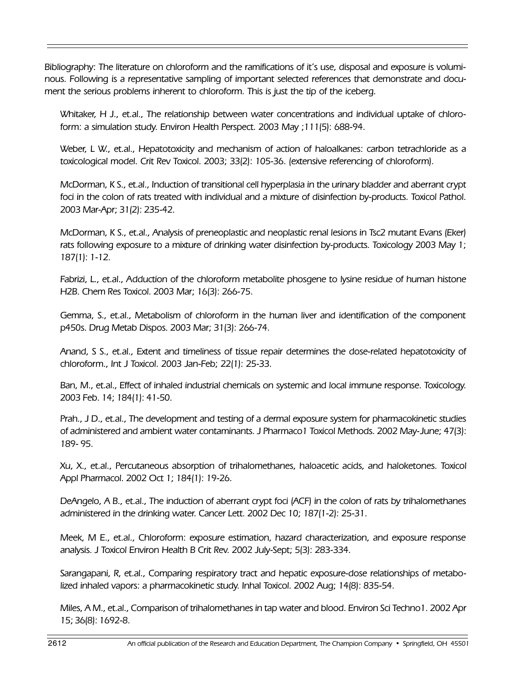Bibliography: The literature on chloroform and the ramifications of it's use, disposal and exposure is voluminous. Following is a representative sampling of important selected references that demonstrate and document the serious problems inherent to chloroform. This is just the tip of the iceberg.

Whitaker, H J., et.al., The relationship between water concentrations and individual uptake of chloroform: a simulation study. Environ Health Perspect. 2003 May ;111(5): 688-94.

Weber, L W., et.al., Hepatotoxicity and mechanism of action of haloalkanes: carbon tetrachloride as a toxicological model. Crit Rev Toxicol. 2003; 33(2): 105-36. (extensive referencing of chloroform).

McDorman, K S., et.al., Induction of transitional cell hyperplasia in the urinary bladder and aberrant crypt foci in the colon of rats treated with individual and a mixture of disinfection by-products. Toxicol Pathol. 2003 Mar-Apr; 31(2): 235-42.

McDorman, K S., et.al., Analysis of preneoplastic and neoplastic renal lesions in Tsc2 mutant Evans (Eker) rats following exposure to a mixture of drinking water disinfection by-products. Toxicology 2003 May 1; 187(1): 1-12.

Fabrizi, L., et.al., Adduction of the chloroform metabolite phosgene to lysine residue of human histone H2B. Chem Res Toxicol. 2003 Mar; 16(3): 266-75.

Gemma, S., et.al., Metabolism of chloroform in the human liver and identification of the component p450s. Drug Metab Dispos. 2003 Mar; 31(3): 266-74.

Anand, S S., et.al., Extent and timeliness of tissue repair determines the dose-related hepatotoxicity of chloroform., Int J Toxicol. 2003 Jan-Feb; 22(1): 25-33.

Ban, M., et.al., Effect of inhaled industrial chemicals on systemic and local immune response. Toxicology. 2003 Feb. 14; 184(1): 41-50.

Prah., J D., et.al., The development and testing of a dermal exposure system for pharmacokinetic studies of administered and ambient water contaminants. J Pharmaco1 Toxicol Methods. 2002 May-June; 47(3): 189- 95.

Xu, X., et.al., Percutaneous absorption of trihalomethanes, haloacetic acids, and haloketones. Toxicol Appl Pharmacol. 2002 Oct 1; 184(1): 19-26.

DeAngelo, A B., et.al., The induction of aberrant crypt foci (ACF) in the colon of rats by trihalomethanes administered in the drinking water. Cancer Lett. 2002 Dec 10; 187(1-2): 25-31.

Meek, M E., et.al., Chloroform: exposure estimation, hazard characterization, and exposure response analysis. J Toxicol Environ Health B Crit Rev. 2002 July-Sept; 5(3): 283-334.

Sarangapani, R, et.al., Comparing respiratory tract and hepatic exposure-dose relationships of metabolized inhaled vapors: a pharmacokinetic study. Inhal Toxicol. 2002 Aug; 14(8): 835-54.

Miles, A M., et.al., Comparison of trihalomethanes in tap water and blood. Environ Sci Techno1. 2002 Apr 15; 36(8): 1692-8.